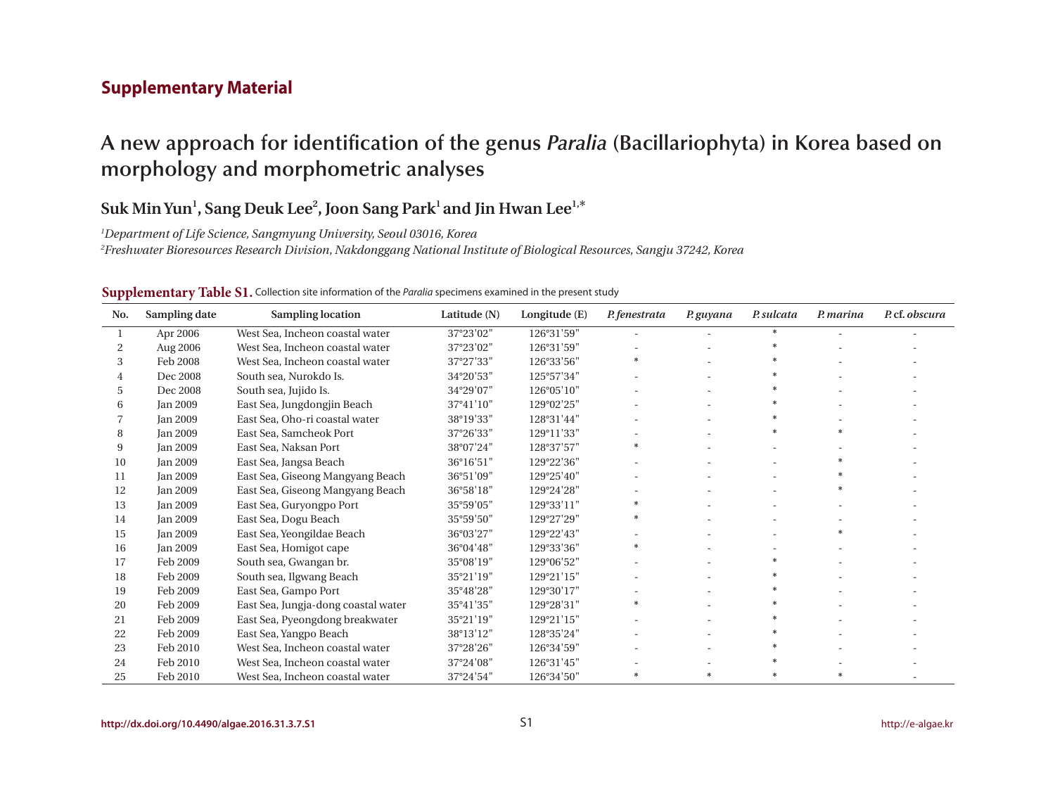## **Supplementary Material**

# **A new approach for identification of the genus** *Paralia* **(Bacillariophyta) in Korea based on morphology and morphometric analyses**

# $\mathbf{Suk}\mathbf{Min}\mathbf{Yun}^{1}, \mathbf{Sang}\mathbf{Deuk}\mathbf{Lee}^{2}, \mathbf{Joon}\mathbf{Sang}\mathbf{Park}^{1}$  and Jin Hwan Lee $^{1,*}$

*Department of Life Science, Sangmyung University, Seoul 03016, Korea*

*Freshwater Bioresources Research Division, Nakdonggang National Institute of Biological Resources, Sangju 37242, Korea*

| No. | Sampling date   | <b>Sampling location</b>            | Latitude (N) | Longitude (E) | P. fenestrata | P. guyana | P. sulcata | P. marina | P.cf. obscura |
|-----|-----------------|-------------------------------------|--------------|---------------|---------------|-----------|------------|-----------|---------------|
| 1   | Apr 2006        | West Sea, Incheon coastal water     | 37°23'02"    | 126°31'59"    |               |           |            |           |               |
| 2   | Aug 2006        | West Sea, Incheon coastal water     | 37°23'02"    | 126°31'59"    |               |           |            |           |               |
| 3   | Feb 2008        | West Sea, Incheon coastal water     | 37°27'33"    | 126°33'56"    |               |           |            |           |               |
| 4   | Dec 2008        | South sea, Nurokdo Is.              | 34°20'53"    | 125°57'34"    |               |           |            |           |               |
| 5   | Dec 2008        | South sea, Jujido Is.               | 34°29'07"    | 126°05'10"    |               |           | $\ast$     |           |               |
| 6   | Jan 2009        | East Sea, Jungdongjin Beach         | 37°41'10"    | 129°02'25"    |               |           |            |           |               |
|     | <b>Jan 2009</b> | East Sea, Oho-ri coastal water      | 38°19'33"    | 128°31'44"    |               |           |            |           |               |
| 8   | <b>Jan 2009</b> | East Sea, Samcheok Port             | 37°26'33"    | 129°11'33"    |               |           |            |           |               |
| 9   | <b>Jan 2009</b> | East Sea, Naksan Port               | 38°07'24"    | 128°37'57"    | $\ast$        |           |            |           |               |
| 10  | <b>Jan 2009</b> | East Sea, Jangsa Beach              | 36°16'51"    | 129°22'36"    |               |           |            |           |               |
| 11  | <b>Jan 2009</b> | East Sea, Giseong Mangyang Beach    | 36°51'09"    | 129°25'40"    |               |           |            |           |               |
| 12  | <b>Jan 2009</b> | East Sea, Giseong Mangyang Beach    | 36°58'18"    | 129°24'28"    |               |           |            |           |               |
| 13  | <b>Jan 2009</b> | East Sea, Guryongpo Port            | 35°59'05"    | 129°33'11"    |               |           |            |           |               |
| 14  | <b>Jan 2009</b> | East Sea, Dogu Beach                | 35°59'50"    | 129°27'29"    |               |           |            |           |               |
| 15  | <b>Jan 2009</b> | East Sea, Yeongildae Beach          | 36°03'27"    | 129°22'43"    |               |           |            |           |               |
| 16  | <b>Jan 2009</b> | East Sea, Homigot cape              | 36°04'48"    | 129°33'36"    |               |           |            |           |               |
| 17  | Feb 2009        | South sea, Gwangan br.              | 35°08'19"    | 129°06'52"    |               |           | $\ast$     |           |               |
| 18  | Feb 2009        | South sea, Ilgwang Beach            | 35°21'19"    | 129°21'15"    |               |           |            |           |               |
| 19  | Feb 2009        | East Sea, Gampo Port                | 35°48'28"    | 129°30'17"    |               |           |            |           |               |
| 20  | Feb 2009        | East Sea, Jungja-dong coastal water | 35°41'35"    | 129°28'31"    |               |           |            |           |               |
| 21  | Feb 2009        | East Sea, Pyeongdong breakwater     | 35°21'19"    | 129°21'15"    |               |           |            |           |               |
| 22  | Feb 2009        | East Sea, Yangpo Beach              | 38°13'12"    | 128°35'24"    |               |           |            |           |               |
| 23  | Feb 2010        | West Sea, Incheon coastal water     | 37°28'26"    | 126°34'59"    |               |           |            |           |               |
| 24  | Feb 2010        | West Sea, Incheon coastal water     | 37°24'08"    | 126°31'45"    |               |           |            |           |               |
| 25  | Feb 2010        | West Sea, Incheon coastal water     | 37°24'54"    | 126°34'50"    |               |           |            |           |               |

#### **Supplementary Table S1.** Collection site information of the *Paralia* specimens examined in the present study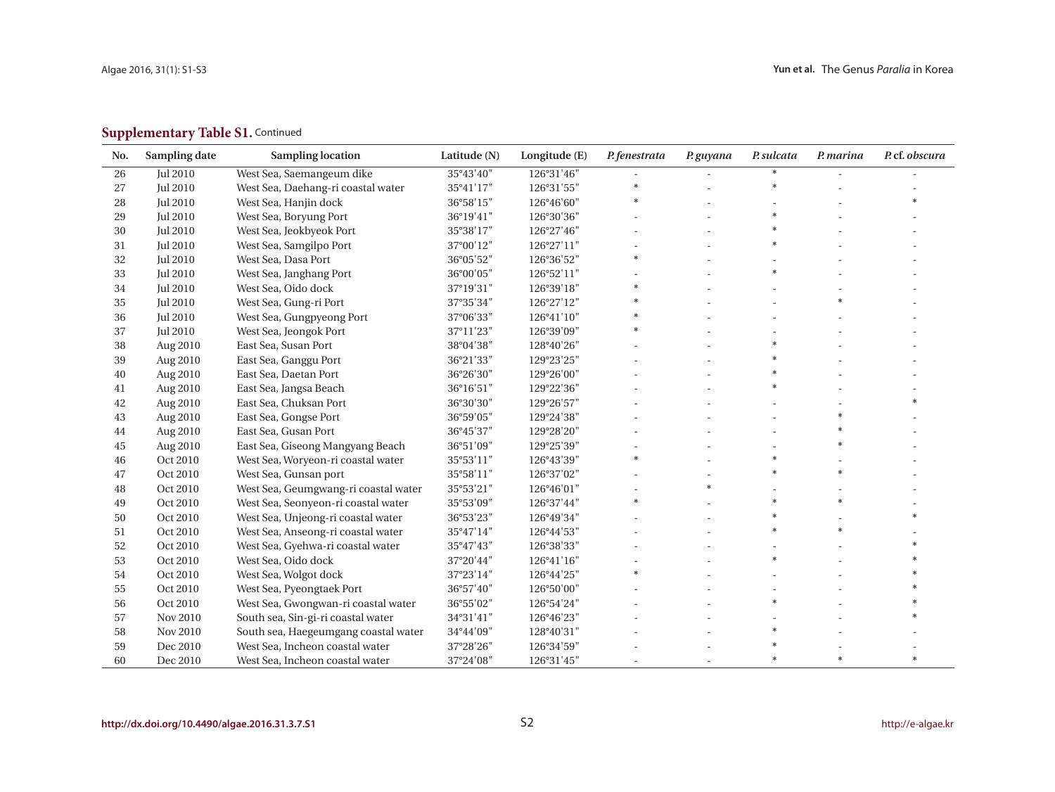## **Supplementary Table S1. Continued**

| No.    | Sampling date   | <b>Sampling location</b>             | Latitude (N) | Longitude (E) | P. fenestrata | P. guyana | P. sulcata | P. marina | P.cf. obscura |
|--------|-----------------|--------------------------------------|--------------|---------------|---------------|-----------|------------|-----------|---------------|
| 26     | <b>Jul 2010</b> | West Sea, Saemangeum dike            | 35°43'40"    | 126°31'46"    |               |           |            |           |               |
| 27     | <b>Jul 2010</b> | West Sea, Daehang-ri coastal water   | 35°41'17"    | 126°31'55"    |               |           |            |           |               |
| 28     | <b>Jul 2010</b> | West Sea, Hanjin dock                | 36°58'15"    | 126°46'60"    |               |           |            |           |               |
| 29     | <b>Jul 2010</b> | West Sea, Boryung Port               | 36°19'41"    | 126°30'36"    |               |           |            |           |               |
| $30\,$ | Jul 2010        | West Sea, Jeokbyeok Port             | 35°38'17"    | 126°27'46"    |               |           |            |           |               |
| 31     | <b>Jul 2010</b> | West Sea, Samgilpo Port              | 37°00'12"    | 126°27'11"    |               |           |            |           |               |
| 32     | <b>Jul 2010</b> | West Sea, Dasa Port                  | 36°05'52"    | 126°36'52"    |               |           |            |           |               |
| 33     | <b>Jul 2010</b> | West Sea, Janghang Port              | 36°00'05"    | 126°52'11"    |               |           |            |           |               |
| 34     | <b>Jul 2010</b> | West Sea, Oido dock                  | 37°19'31"    | 126°39'18"    |               |           |            |           |               |
| 35     | <b>Jul 2010</b> | West Sea, Gung-ri Port               | 37°35'34"    | 126°27'12"    |               |           |            |           |               |
| 36     | <b>Jul 2010</b> | West Sea, Gungpyeong Port            | 37°06'33"    | 126°41'10"    |               |           |            |           |               |
| 37     | <b>Jul 2010</b> | West Sea, Jeongok Port               | 37°11'23"    | 126°39'09"    |               |           |            |           |               |
| 38     | Aug 2010        | East Sea, Susan Port                 | 38°04'38"    | 128°40'26"    |               |           |            |           |               |
| 39     | Aug 2010        | East Sea, Ganggu Port                | 36°21'33"    | 129°23'25"    |               |           |            |           |               |
| $40\,$ | Aug 2010        | East Sea, Daetan Port                | 36°26'30"    | 129°26'00"    |               |           |            |           |               |
| 41     | Aug 2010        | East Sea, Jangsa Beach               | 36°16'51"    | 129°22'36"    |               |           |            |           |               |
| $42\,$ | Aug 2010        | East Sea, Chuksan Port               | 36°30'30"    | 129°26'57"    |               |           |            |           |               |
| 43     | Aug 2010        | East Sea, Gongse Port                | 36°59'05"    | 129°24'38"    |               |           |            |           |               |
| 44     | Aug 2010        | East Sea, Gusan Port                 | 36°45'37"    | 129°28'20"    |               |           |            |           |               |
| 45     | Aug 2010        | East Sea, Giseong Mangyang Beach     | 36°51'09"    | 129°25'39"    |               |           |            |           |               |
| 46     | Oct 2010        | West Sea, Woryeon-ri coastal water   | 35°53'11"    | 126°43'39"    | $\ast$        |           |            |           |               |
| 47     | Oct 2010        | West Sea, Gunsan port                | 35°58'11"    | 126°37'02"    |               |           |            |           |               |
| 48     | Oct 2010        | West Sea, Geumgwang-ri coastal water | 35°53'21"    | 126°46'01"    |               |           |            |           |               |
| 49     | Oct 2010        | West Sea, Seonyeon-ri coastal water  | 35°53'09"    | 126°37'44"    |               |           |            |           |               |
| 50     | Oct 2010        | West Sea, Unjeong-ri coastal water   | 36°53'23"    | 126°49'34"    |               |           |            |           |               |
| 51     | Oct 2010        | West Sea, Anseong-ri coastal water   | 35°47'14"    | 126°44'53"    |               |           |            |           |               |
| 52     | Oct 2010        | West Sea, Gyehwa-ri coastal water    | 35°47'43"    | 126°38'33"    |               |           |            |           |               |
| 53     | Oct 2010        | West Sea, Oido dock                  | 37°20'44"    | 126°41'16"    |               |           |            |           |               |
| 54     | Oct 2010        | West Sea, Wolgot dock                | 37°23'14"    | 126°44'25"    | $\ast$        |           |            |           |               |
| 55     | Oct 2010        | West Sea, Pyeongtaek Port            | 36°57'40"    | 126°50'00"    |               |           |            |           |               |
| 56     | Oct 2010        | West Sea, Gwongwan-ri coastal water  | 36°55'02"    | 126°54'24"    |               |           | $\ast$     |           |               |
| 57     | Nov 2010        | South sea, Sin-gi-ri coastal water   | 34°31'41"    | 126°46'23"    |               |           |            |           |               |
| 58     | Nov 2010        | South sea, Haegeumgang coastal water | 34°44'09"    | 128°40'31"    |               |           |            |           |               |
| 59     | Dec 2010        | West Sea, Incheon coastal water      | 37°28'26"    | 126°34'59"    |               |           |            |           |               |
| 60     | Dec 2010        | West Sea, Incheon coastal water      | 37°24'08"    | 126°31'45"    |               |           | $\ast$     | $\ast$    | $\ast$        |